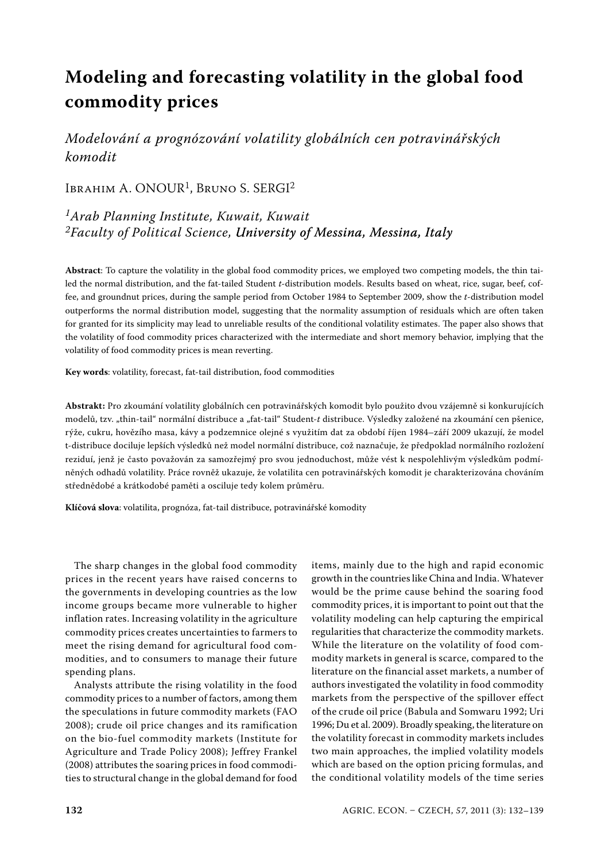# **Modeling and forecasting volatility in the global food commodity prices**

*Modelování a prognózování volatility globálních cen potravinářských komodit*

IBRAHIM A. ONOUR<sup>1</sup>, Bruno S. SERGI<sup>2</sup>

## *1Arab Planning Institute, Kuwait, Kuwait 2Faculty of Political Science, �niversity of Messina, Messina, Italy*

**Abstract**: To capture the volatility in the global food commodity prices, we employed two competing models, the thin tailed the normal distribution, and the fat-tailed Student *t*-distribution models. Results based on wheat, rice, sugar, beef, coffee, and groundnut prices, during the sample period from October 1984 to September 2009, show the *t*-distribution model outperforms the normal distribution model, suggesting that the normality assumption of residuals which are often taken for granted for its simplicity may lead to unreliable results of the conditional volatility estimates. The paper also shows that the volatility of food commodity prices characterized with the intermediate and short memory behavior, implying that the volatility of food commodity prices is mean reverting.

**Key words**: volatility, forecast, fat-tail distribution, food commodities

**Abstrakt:** Pro zkoumání volatility globálních cen potravinářských komodit bylo použito dvou vzájemně si konkurujících modelů, tzv. "thin-tail" normální distribuce a "fat-tail" Student-t distribuce. Výsledky založené na zkoumání cen pšenice, rýže, cukru, hovězího masa, kávy a podzemnice olejné s využitím dat za období říjen 1984–září 2009 ukazují, že model t-distribuce dociluje lepších výsledků než model normální distribuce, což naznačuje, že předpoklad normálního rozložení reziduí, jenž je často považován za samozřejmý pro svou jednoduchost, může vést k nespolehlivým výsledkům podmíněných odhadů volatility. Práce rovněž ukazuje, že volatilita cen potravinářských komodit je charakterizována chováním střednědobé a krátkodobé paměti a osciluje tedy kolem průměru.

**Klíčová slova**: volatilita, prognóza, fat-tail distribuce, potravinářské komodity

The sharp changes in the global food commodity prices in the recent years have raised concerns to the governments in developing countries as the low income groups became more vulnerable to higher inflation rates. Increasing volatility in the agriculture commodity prices creates uncertainties to farmers to meet the rising demand for agricultural food commodities, and to consumers to manage their future spending plans.

Analysts attribute the rising volatility in the food commodity prices to a number of factors, among them the speculations in future commodity markets (FAO 2008); crude oil price changes and its ramification on the bio-fuel commodity markets (Institute for Agriculture and Trade Policy 2008); Jeffrey Frankel (2008) attributes the soaring prices in food commodities to structural change in the global demand for food

items, mainly due to the high and rapid economic growth in the countries like China and India. Whatever would be the prime cause behind the soaring food commodity prices, it is important to point out that the volatility modeling can help capturing the empirical regularities that characterize the commodity markets. While the literature on the volatility of food commodity markets in general is scarce, compared to the literature on the financial asset markets, a number of authors investigated the volatility in food commodity markets from the perspective of the spillover effect of the crude oil price (Babula and Somwaru 1992; Uri 1996; Du et al. 2009). Broadly speaking, the literature on the volatility forecast in commodity markets includes two main approaches, the implied volatility models which are based on the option pricing formulas, and the conditional volatility models of the time series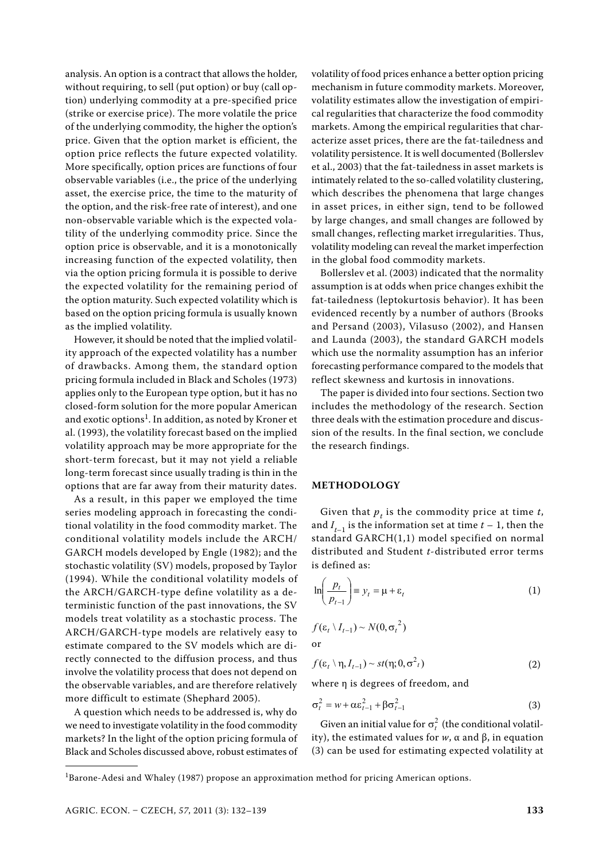analysis. An option is a contract that allows the holder, without requiring, to sell (put option) or buy (call option) underlying commodity at a pre-specified price (strike or exercise price). The more volatile the price of the underlying commodity, the higher the option's price. Given that the option market is efficient, the option price reflects the future expected volatility. More specifically, option prices are functions of four observable variables (i.e., the price of the underlying asset, the exercise price, the time to the maturity of the option, and the risk-free rate of interest), and one non-observable variable which is the expected volatility of the underlying commodity price. Since the option price is observable, and it is a monotonically increasing function of the expected volatility, then via the option pricing formula it is possible to derive the expected volatility for the remaining period of the option maturity. Such expected volatility which is based on the option pricing formula is usually known as the implied volatility.

However, it should be noted that the implied volatility approach of the expected volatility has a number of drawbacks. Among them, the standard option pricing formula included in Black and Scholes (1973) applies only to the European type option, but it has no closed-form solution for the more popular American and exotic options<sup>1</sup>. In addition, as noted by Kroner et al. (1993), the volatility forecast based on the implied volatility approach may be more appropriate for the short-term forecast, but it may not yield a reliable long-term forecast since usually trading is thin in the options that are far away from their maturity dates.

As a result, in this paper we employed the time series modeling approach in forecasting the conditional volatility in the food commodity market. The conditional volatility models include the ARCH/ GARCH models developed by Engle (1982); and the stochastic volatility (SV) models, proposed by Taylor (1994). While the conditional volatility models of the ARCH/GARCH-type define volatility as a deterministic function of the past innovations, the SV models treat volatility as a stochastic process. The ARCH/GARCH-type models are relatively easy to estimate compared to the SV models which are directly connected to the diffusion process, and thus involve the volatility process that does not depend on the observable variables, and are therefore relatively more difficult to estimate (Shephard 2005).

A question which needs to be addressed is, why do we need to investigate volatility in the food commodity markets? In the light of the option pricing formula of Black and Scholes discussed above, robust estimates of volatility of food prices enhance a better option pricing mechanism in future commodity markets. Moreover, volatility estimates allow the investigation of empirical regularities that characterize the food commodity markets. Among the empirical regularities that characterize asset prices, there are the fat-tailedness and volatility persistence. It is well documented (Bollerslev et al., 2003) that the fat-tailedness in asset markets is intimately related to the so-called volatility clustering, which describes the phenomena that large changes in asset prices, in either sign, tend to be followed by large changes, and small changes are followed by small changes, reflecting market irregularities. Thus, volatility modeling can reveal the market imperfection in the global food commodity markets.

Bollerslev et al. (2003) indicated that the normality assumption is at odds when price changes exhibit the fat-tailedness (leptokurtosis behavior). It has been evidenced recently by a number of authors (Brooks and Persand (2003), Vilasuso (2002), and Hansen and Launda (2003), the standard GARCH models which use the normality assumption has an inferior forecasting performance compared to the models that reflect skewness and kurtosis in innovations.

The paper is divided into four sections. Section two includes the methodology of the research. Section three deals with the estimation procedure and discussion of the results. In the final section, we conclude the research findings.

#### **METHODOLOGY**

Given that  $p_t$  is the commodity price at time  $t$ , and  $I_{t-1}$  is the information set at time  $t-1$ , then the standard GARCH(1,1) model specified on normal distributed and Student *t*-distributed error terms is defined as:

$$
\ln\left(\frac{p_t}{p_{t-1}}\right) \equiv y_t = \mu + \varepsilon_t \tag{1}
$$

$$
f(\varepsilon_t \setminus I_{t-1}) \sim N(0, \sigma_t^2)
$$
  
or

$$
f(\varepsilon_t \setminus \eta, I_{t-1}) \sim st(\eta; 0, \sigma^2_t)
$$
 (2)

where η is degrees of freedom, and

$$
\sigma_t^2 = w + \alpha \varepsilon_{t-1}^2 + \beta \sigma_{t-1}^2
$$
 (3)

Given an initial value for  $\sigma_t^2$  (the conditional volatility), the estimated values for *w*, α and β, in equation (3) can be used for estimating expected volatility at

 $1B$ arone-Adesi and Whaley (1987) propose an approximation method for pricing American options.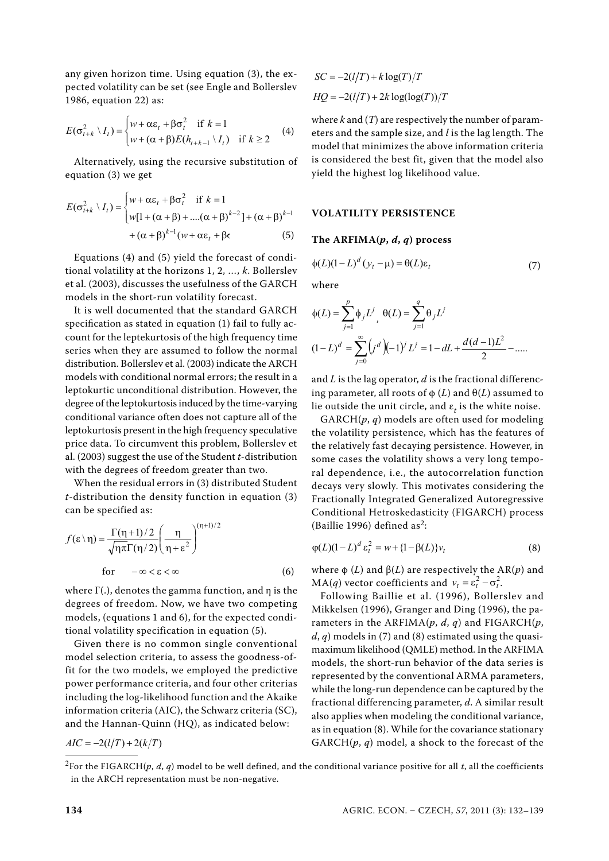any given horizon time. Using equation (3), the expected volatility can be set (see Engle and Bollerslev 1986, equation 22) as:

$$
E(\sigma_{t+k}^2 \setminus I_t) = \begin{cases} w + \alpha \varepsilon_t + \beta \sigma_t^2 & \text{if } k = 1 \\ w + (\alpha + \beta) E(h_{t+k-1} \setminus I_t) & \text{if } k \ge 2 \end{cases}
$$
 (4)

Alternatively, using the recursive substitution of equation (3) we get

$$
E(\sigma_{t+k}^2 \setminus I_t) = \begin{cases} w + \alpha \varepsilon_t + \beta \sigma_t^2 & \text{if } k = 1 \\ w[1 + (\alpha + \beta) + ....(\alpha + \beta)^{k-2}] + (\alpha + \beta)^{k-1} & \text{VOLATILITY PERSON} \\ + (\alpha + \beta)^{k-1} (w + \alpha \varepsilon_t + \beta \varepsilon & (5) \end{cases}
$$
 The ARFIMA(*p*, *d*, *a*) process

Equations (4) and (5) yield the forecast of conditional volatility at the horizons 1, 2, …, *k*. Bollerslev et al. (2003), discusses the usefulness of the GARCH models in the short-run volatility forecast.

It is well documented that the standard GARCH specification as stated in equation (1) fail to fully account for the leptekurtosis of the high frequency time series when they are assumed to follow the normal distribution. Bollerslev et al. (2003) indicate the ARCH models with conditional normal errors; the result in a leptokurtic unconditional distribution. However, the degree of the leptokurtosis induced by the time-varying conditional variance often does not capture all of the leptokurtosis present in the high frequency speculative price data. To circumvent this problem, Bollerslev et al. (2003) suggest the use of the Student *t*-distribution with the degrees of freedom greater than two.

When the residual errors in (3) distributed Student *t*-distribution the density function in equation (3) can be specified as:

$$
f(\varepsilon \setminus \eta) = \frac{\Gamma(\eta + 1)/2}{\sqrt{\eta \pi} \Gamma(\eta/2)} \left(\frac{\eta}{\eta + \varepsilon^2}\right)^{(\eta + 1)/2}
$$
  
for  $-\infty < \varepsilon < \infty$  (6)

where  $\Gamma(.)$ , denotes the gamma function, and  $\eta$  is the degrees of freedom. Now, we have two competing models, (equations 1 and 6), for the expected conditional volatility specification in equation (5).

Given there is no common single conventional model selection criteria, to assess the goodness-offit for the two models, we employed the predictive power performance criteria, and four other criterias including the log-likelihood function and the Akaike information criteria (AIC), the Schwarz criteria (SC), and the Hannan-Quinn (HQ), as indicated below:

$$
AIC = -2(l/T) + 2(k/T)
$$

$$
SC = -2(l/T) + k \log(T)/T
$$

$$
HQ = -2(l/T) + 2k \log(\log(T))/T
$$

where *k* and (*T*) are respectively the number of parameters and the sample size, and *l* is the lag length. The model that minimizes the above information criteria is considered the best fit, given that the model also yield the highest log likelihood value.

#### **The ARFIMA(***p***,** *d***,** *q***) process**

$$
\phi(L)(1-L)^{d}(y_{t}-\mu) = \Theta(L)\varepsilon_{t}
$$
\n(7)

where

$$
\phi(L) = \sum_{j=1}^{p} \phi_j L^j, \quad \theta(L) = \sum_{j=1}^{q} \theta_j L^j
$$

$$
(1 - L)^d = \sum_{j=0}^{\infty} (j^d) (-1)^j L^j = 1 - dL + \frac{d(d-1)L^2}{2} - \dots
$$

and *L* is the lag operator, *d* is the fractional differencing parameter, all roots of  $\phi$  (*L*) and  $\theta$ (*L*) assumed to lie outside the unit circle, and  $\varepsilon_t$  is the white noise.

GARCH(*p*, *q*) models are often used for modeling the volatility persistence, which has the features of the relatively fast decaying persistence. However, in some cases the volatility shows a very long temporal dependence, i.e., the autocorrelation function decays very slowly. This motivates considering the Fractionally Integrated Generalized Autoregressive Conditional Hetroskedasticity (FIGARCH) process (Baillie 1996) defined as<sup>2</sup>:

$$
\varphi(L)(1-L)^d \varepsilon_t^2 = w + \{1-\beta(L)\} v_t \tag{8}
$$

where  $\phi$  (*L*) and  $\beta$ (*L*) are respectively the AR(*p*) and  $MA(q)$  vector coefficients and  $v_t = \varepsilon_t^2 - \sigma_t^2$ .

Following Baillie et al. (1996), Bollerslev and Mikkelsen (1996), Granger and Ding (1996), the parameters in the ARFIMA $(p, d, q)$  and FIGARCH $(p, d, q)$ *d*, *q*) models in (7) and (8) estimated using the quasimaximum likelihood (QMLE) method. In the ARFIMA models, the short-run behavior of the data series is represented by the conventional ARMA parameters, while the long-run dependence can be captured by the fractional differencing parameter, *d*. A similar result also applies when modeling the conditional variance, as in equation (8). While for the covariance stationary  $GARCH(p, q)$  model, a shock to the forecast of the

<sup>&</sup>lt;sup>2</sup>For the FIGARCH( $p$ ,  $d$ ,  $q$ ) model to be well defined, and the conditional variance positive for all  $t$ , all the coefficients in the ARCH representation must be non-negative.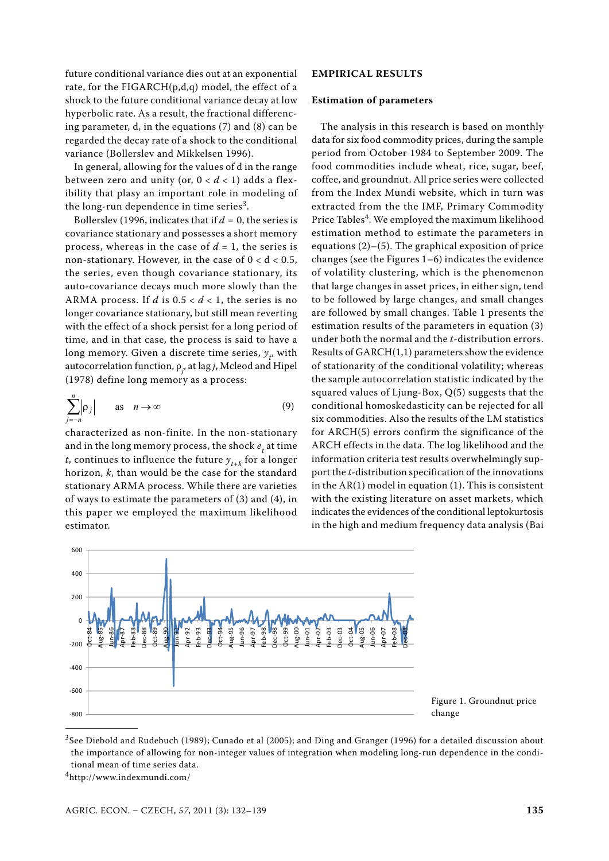future conditional variance dies out at an exponential rate, for the FIGARCH(p,d,q) model, the effect of a shock to the future conditional variance decay at low hyperbolic rate. As a result, the fractional differencing parameter, d, in the equations (7) and (8) can be regarded the decay rate of a shock to the conditional variance (Bollerslev and Mikkelsen 1996).

In general, allowing for the values of d in the range between zero and unity (or,  $0 < d < 1$ ) adds a flexibility that plasy an important role in modeling of the long-run dependence in time series<sup>3</sup>.

Bollerslev (1996, indicates that if  $d = 0$ , the series is covariance stationary and possesses a short memory process, whereas in the case of  $d = 1$ , the series is non-stationary. However, in the case of  $0 < d < 0.5$ , the series, even though covariance stationary, its auto-covariance decays much more slowly than the ARMA process. If *d* is  $0.5 < d < 1$ , the series is no longer covariance stationary, but still mean reverting with the effect of a shock persist for a long period of time, and in that case, the process is said to have a long memory. Given a discrete time series,  $y_t$ , with autocorrelation function,  $\rho_{j'}$  at lag *j*, Mcleod and Hipel (1978) define long memory as a process:

$$
\sum_{j=-n}^{n} \left| \rho_j \right| \qquad \text{as} \quad n \to \infty \tag{9}
$$

characterized as non-finite. In the non-stationary and in the long memory process, the shock  $e_t$  at time  $t$ , continues to influence the future  $y_{t+k}$  for a longer horizon, *k*, than would be the case for the standard stationary ARMA process. While there are varieties of ways to estimate the parameters of (3) and (4), in this paper we employed the maximum likelihood estimator.

#### **EMPIRICAL RESULTS**

#### **Estimation of parameters**

The analysis in this research is based on monthly data for six food commodity prices, during the sample period from October 1984 to September 2009. The food commodities include wheat, rice, sugar, beef, coffee, and groundnut. All price series were collected from the Index Mundi website, which in turn was extracted from the the IMF, Primary Commodity Price Tables<sup>4</sup>. We employed the maximum likelihood estimation method to estimate the parameters in equations (2)–(5). The graphical exposition of price changes (see the Figures 1–6) indicates the evidence of volatility clustering, which is the phenomenon that large changes in asset prices, in either sign, tend to be followed by large changes, and small changes are followed by small changes. Table 1 presents the estimation results of the parameters in equation (3) under both the normal and the *t*-distribution errors. Results of GARCH(1,1) parameters show the evidence of stationarity of the conditional volatility; whereas the sample autocorrelation statistic indicated by the squared values of Ljung-Box, Q(5) suggests that the conditional homoskedasticity can be rejected for all six commodities. Also the results of the LM statistics for ARCH(5) errors confirm the significance of the ARCH effects in the data. The log likelihood and the information criteria test results overwhelmingly support the *t*-distribution specification of the innovations in the AR(1) model in equation (1). This is consistent with the existing literature on asset markets, which indicates the evidences of the conditional leptokurtosis in the high and medium frequency data analysis (Bai



 $3$ See Diebold and Rudebuch (1989); Cunado et al (2005); and Ding and Granger (1996) for a detailed discussion about the importance of allowing for non-integer values of integration when modeling long-run dependence in the conditional mean of time series data.

<sup>4</sup>http://www.indexmundi.com/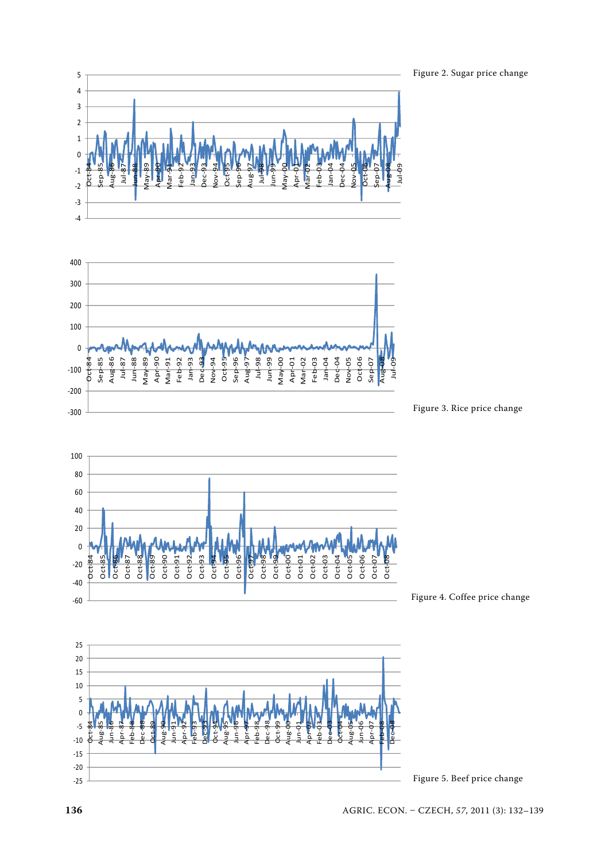

Figure 2. Sugar price change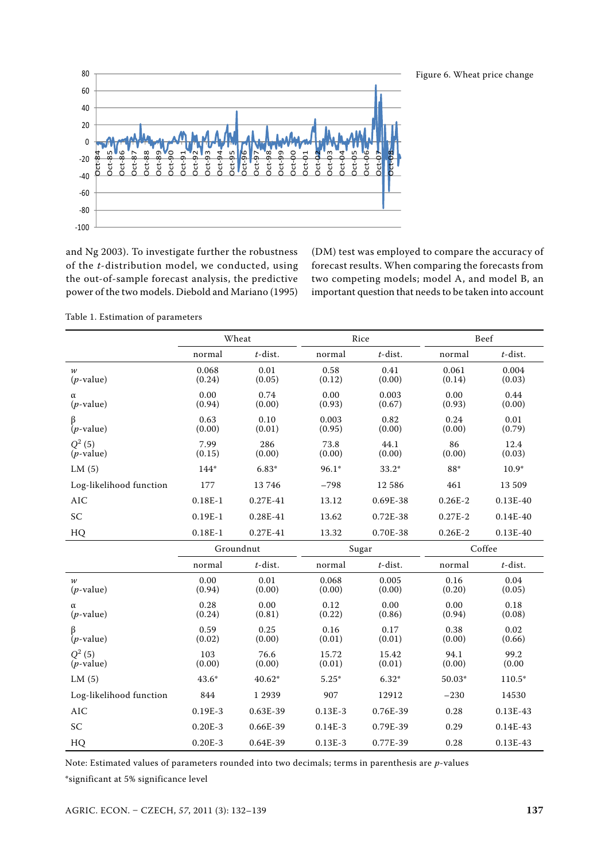

and Ng 2003). To investigate further the robustness of the *t*-distribution model, we conducted, using the out-of-sample forecast analysis, the predictive power of the two models. Diebold and Mariano (1995) (DM) test was employed to compare the accuracy of forecast results. When comparing the forecasts from two competing models; model A, and model B, an important question that needs to be taken into account

Table 1. Estimation of parameters

|                          | Wheat           |                | Rice            |                 | Beef            |                 |
|--------------------------|-----------------|----------------|-----------------|-----------------|-----------------|-----------------|
|                          | normal          | $t$ -dist.     | normal          | $t$ -dist.      | normal          | $t$ -dist.      |
| w<br>$(p$ -value)        | 0.068<br>(0.24) | 0.01<br>(0.05) | 0.58<br>(0.12)  | 0.41<br>(0.00)  | 0.061<br>(0.14) | 0.004<br>(0.03) |
| α<br>$(p$ -value)        | 0.00<br>(0.94)  | 0.74<br>(0.00) | 0.00<br>(0.93)  | 0.003<br>(0.67) | 0.00<br>(0.93)  | 0.44<br>(0.00)  |
| $(p$ -value)             | 0.63<br>(0.00)  | 0.10<br>(0.01) | 0.003<br>(0.95) | 0.82<br>(0.00)  | 0.24<br>(0.00)  | 0.01<br>(0.79)  |
| $Q^2(5)$<br>$(p$ -value) | 7.99<br>(0.15)  | 286<br>(0.00)  | 73.8<br>(0.00)  | 44.1<br>(0.00)  | 86<br>(0.00)    | 12.4<br>(0.03)  |
| LM(5)                    | $144*$          | $6.83*$        | $96.1*$         | $33.2*$         | $88*$           | $10.9*$         |
| Log-likelihood function  | 177             | 13746          | $-798$          | 12 586          | 461             | 13 509          |
| <b>AIC</b>               | $0.18E - 1$     | $0.27E-41$     | 13.12           | $0.69E - 38$    | $0.26E - 2$     | $0.13E-40$      |
| SC                       | $0.19E-1$       | 0.28E-41       | 13.62           | $0.72E - 38$    | $0.27E - 2$     | $0.14E - 40$    |
| HQ                       | $0.18E - 1$     | $0.27E-41$     | 13.32           | 0.70E-38        | $0.26E - 2$     | $0.13E-40$      |
|                          | Groundnut       |                | Sugar           |                 | Coffee          |                 |
|                          | normal          | $t$ -dist.     | normal          | $t$ -dist.      | normal          | $t$ -dist.      |
| w<br>$(p$ -value)        | 0.00<br>(0.94)  | 0.01<br>(0.00) | 0.068<br>(0.00) | 0.005<br>(0.00) | 0.16<br>(0.20)  | 0.04<br>(0.05)  |
| α<br>$(p$ -value)        | 0.28<br>(0.24)  | 0.00<br>(0.81) | 0.12<br>(0.22)  | 0.00<br>(0.86)  | 0.00<br>(0.94)  | 0.18<br>(0.08)  |
| $(p$ -value)             | 0.59<br>(0.02)  | 0.25<br>(0.00) | 0.16<br>(0.01)  | 0.17<br>(0.01)  | 0.38<br>(0.00)  | 0.02<br>(0.66)  |
| $Q^2(5)$<br>$(p$ -value) | 103<br>(0.00)   | 76.6<br>(0.00) | 15.72<br>(0.01) | 15.42<br>(0.01) | 94.1<br>(0.00)  | 99.2<br>(0.00)  |
| LM(5)                    | 43.6*           | $40.62*$       | $5.25*$         | $6.32*$         | $50.03*$        | 110.5*          |
| Log-likelihood function  | 844             | 1 2 9 3 9      | 907             | 12912           | $-230$          | 14530           |
| <b>AIC</b>               | $0.19E - 3$     | $0.63E-39$     | $0.13E-3$       | 0.76E-39        | 0.28            | $0.13E-43$      |
| SC                       | $0.20E - 3$     | $0.66E-39$     | $0.14E-3$       | 0.79E-39        | 0.29            | 0.14E-43        |
| HQ                       | $0.20E - 3$     | 0.64E-39       | $0.13E-3$       | 0.77E-39        | 0.28            | $0.13E-43$      |

Note: Estimated values of parameters rounded into two decimals; terms in parenthesis are *p*-values

\*significant at 5% significance level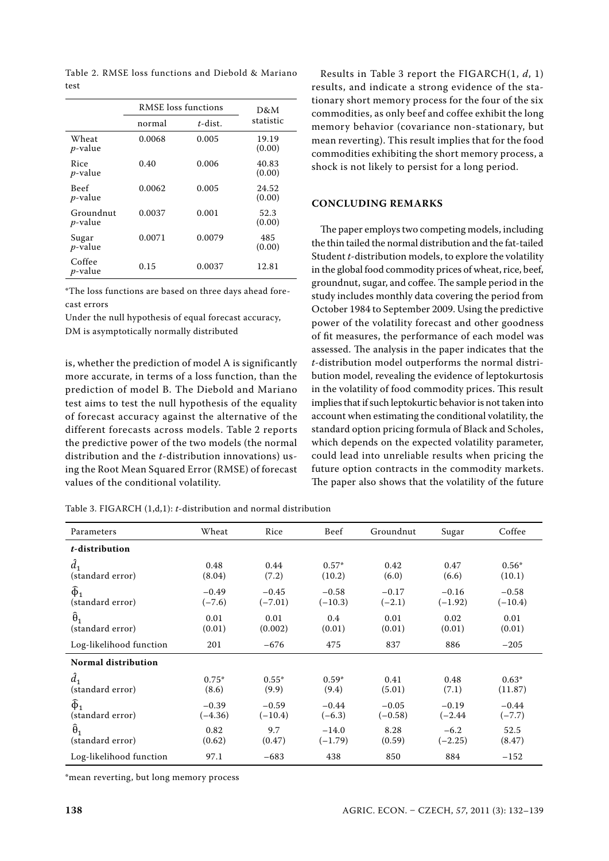Table 2. RMSE loss functions and Diebold & Mariano test

|                           | RMSE loss functions | D&M     |                 |  |
|---------------------------|---------------------|---------|-----------------|--|
|                           | normal              | t-dist. | statistic       |  |
| Wheat<br><i>p</i> -value  | 0.0068              | 0.005   | 19.19<br>(0.00) |  |
| Rice<br>$p$ -value        | 0.40                | 0.006   | 40.83<br>(0.00) |  |
| Beef<br>$p$ -value        | 0.0062              | 0.005   | 24.52<br>(0.00) |  |
| Groundnut<br>$p$ -value   | 0.0037              | 0.001   | 52.3<br>(0.00)  |  |
| Sugar<br>$p$ -value       | 0.0071              | 0.0079  | 485<br>(0.00)   |  |
| Coffee<br><i>p</i> -value | 0.15                | 0.0037  | 12.81           |  |

\*The loss functions are based on three days ahead forecast errors

Under the null hypothesis of equal forecast accuracy, DM is asymptotically normally distributed

is, whether the prediction of model A is significantly more accurate, in terms of a loss function, than the prediction of model B. The Diebold and Mariano test aims to test the null hypothesis of the equality of forecast accuracy against the alternative of the different forecasts across models. Table 2 reports the predictive power of the two models (the normal distribution and the *t*-distribution innovations) using the Root Mean Squared Error (RMSE) of forecast values of the conditional volatility.

Results in Table 3 report the FIGARCH(1, *d*, 1) results, and indicate a strong evidence of the stationary short memory process for the four of the six commodities, as only beef and coffee exhibit the long memory behavior (covariance non-stationary, but mean reverting). This result implies that for the food commodities exhibiting the short memory process, a shock is not likely to persist for a long period.

### **CONCLUDING REMARKS**

The paper employs two competing models, including the thin tailed the normal distribution and the fat-tailed Student *t-*distribution models, to explore the volatility in the global food commodity prices of wheat, rice, beef, groundnut, sugar, and coffee. The sample period in the study includes monthly data covering the period from October 1984 to September 2009. Using the predictive power of the volatility forecast and other goodness of fit measures, the performance of each model was assessed. The analysis in the paper indicates that the *t*-distribution model outperforms the normal distribution model, revealing the evidence of leptokurtosis in the volatility of food commodity prices. This result implies that if such leptokurtic behavior is not taken into account when estimating the conditional volatility, the standard option pricing formula of Black and Scholes, which depends on the expected volatility parameter, could lead into unreliable results when pricing the future option contracts in the commodity markets. The paper also shows that the volatility of the future

Table 3. FIGARCH (1,d,1): *t*-distribution and normal distribution

| Parameters                 | Wheat     | Rice      | Beef      | Groundnut | Sugar     | Coffee    |
|----------------------------|-----------|-----------|-----------|-----------|-----------|-----------|
| t-distribution             |           |           |           |           |           |           |
| $\hat{d}_1$                | 0.48      | 0.44      | $0.57*$   | 0.42      | 0.47      | $0.56*$   |
| (standard error)           | (8.04)    | (7.2)     | (10.2)    | (6.0)     | (6.6)     | (10.1)    |
| $\widehat{\Phi}_1$         | $-0.49$   | $-0.45$   | $-0.58$   | $-0.17$   | $-0.16$   | $-0.58$   |
| (standard error)           | $(-7.6)$  | $(-7.01)$ | $(-10.3)$ | $(-2.1)$  | $(-1.92)$ | $(-10.4)$ |
| $\widehat{\theta}_1$       | 0.01      | 0.01      | 0.4       | 0.01      | 0.02      | 0.01      |
| (standard error)           | (0.01)    | (0.002)   | (0.01)    | (0.01)    | (0.01)    | (0.01)    |
| Log-likelihood function    | 201       | $-676$    | 475       | 837       | 886       | $-205$    |
| <b>Normal distribution</b> |           |           |           |           |           |           |
| $\hat{d}_1$                | $0.75*$   | $0.55*$   | $0.59*$   | 0.41      | 0.48      | $0.63*$   |
| (standard error)           | (8.6)     | (9.9)     | (9.4)     | (5.01)    | (7.1)     | (11.87)   |
| $\widehat{\Phi}_1$         | $-0.39$   | $-0.59$   | $-0.44$   | $-0.05$   | $-0.19$   | $-0.44$   |
| (standard error)           | $(-4.36)$ | $(-10.4)$ | $(-6.3)$  | $(-0.58)$ | $(-2.44)$ | $(-7.7)$  |
| $\hat{\theta}_1$           | 0.82      | 9.7       | $-14.0$   | 8.28      | $-6.2$    | 52.5      |
| (standard error)           | (0.62)    | (0.47)    | $(-1.79)$ | (0.59)    | $(-2.25)$ | (8.47)    |
| Log-likelihood function    | 97.1      | $-683$    | 438       | 850       | 884       | $-152$    |

\*mean reverting, but long memory process